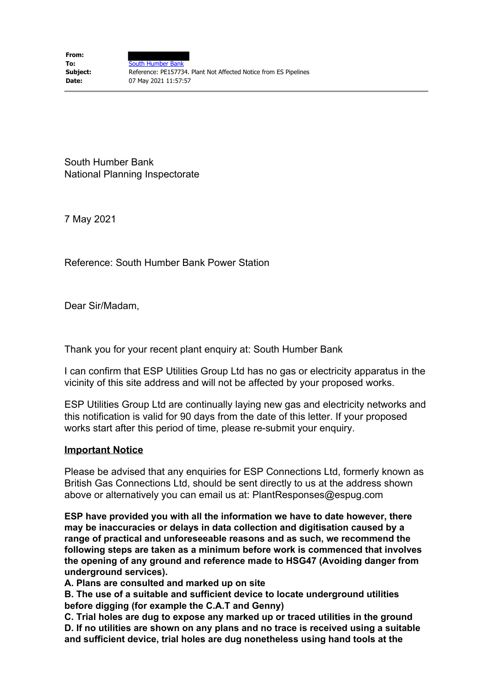South Humber Bank National Planning Inspectorate

7 May 2021

Reference: South Humber Bank Power Station

Dear Sir/Madam,

Thank you for your recent plant enquiry at: South Humber Bank

I can confirm that ESP Utilities Group Ltd has no gas or electricity apparatus in the vicinity of this site address and will not be affected by your proposed works.

ESP Utilities Group Ltd are continually laying new gas and electricity networks and this notification is valid for 90 days from the date of this letter. If your proposed works start after this period of time, please re-submit your enquiry.

## **Important Notice**

Please be advised that any enquiries for ESP Connections Ltd, formerly known as British Gas Connections Ltd, should be sent directly to us at the address shown above or alternatively you can email us at: PlantResponses@espug.com

**ESP have provided you with all the information we have to date however, there may be inaccuracies or delays in data collection and digitisation caused by a range of practical and unforeseeable reasons and as such, we recommend the following steps are taken as a minimum before work is commenced that involves the opening of any ground and reference made to HSG47 (Avoiding danger from underground services).**

**A. Plans are consulted and marked up on site** 

**B. The use of a suitable and sufficient device to locate underground utilities before digging (for example the C.A.T and Genny)** 

**C. Trial holes are dug to expose any marked up or traced utilities in the ground D. If no utilities are shown on any plans and no trace is received using a suitable and sufficient device, trial holes are dug nonetheless using hand tools at the**